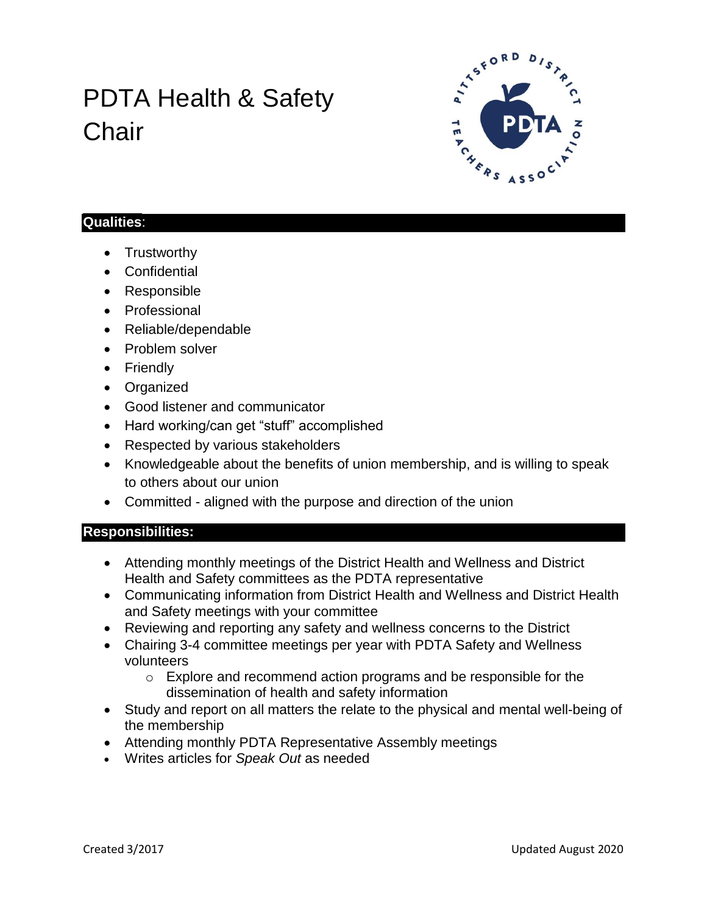# PDTA Health & Safety **Chair**



#### **Qualities**:

- Trustworthy
- Confidential
- Responsible
- Professional
- Reliable/dependable
- Problem solver
- Friendly
- Organized
- Good listener and communicator
- Hard working/can get "stuff" accomplished
- Respected by various stakeholders
- Knowledgeable about the benefits of union membership, and is willing to speak to others about our union
- Committed aligned with the purpose and direction of the union

### **Responsibilities:**

- Attending monthly meetings of the District Health and Wellness and District Health and Safety committees as the PDTA representative
- Communicating information from District Health and Wellness and District Health and Safety meetings with your committee
- Reviewing and reporting any safety and wellness concerns to the District
- Chairing 3-4 committee meetings per year with PDTA Safety and Wellness volunteers
	- $\circ$  Explore and recommend action programs and be responsible for the dissemination of health and safety information
- Study and report on all matters the relate to the physical and mental well-being of the membership
- Attending monthly PDTA Representative Assembly meetings
- Writes articles for *Speak Out* as needed